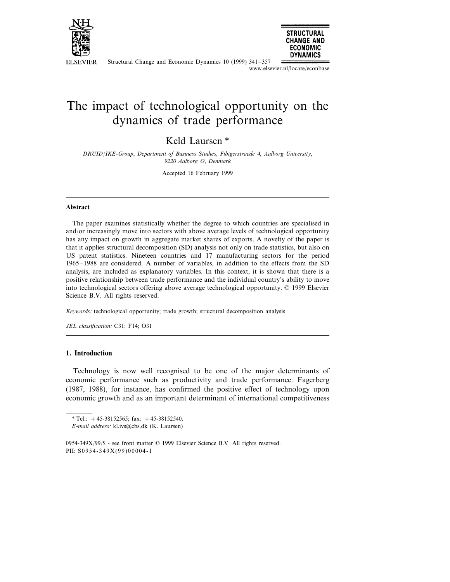

**STRUCTURAL** CHANGE AND **ECONOMIC DYNAMICS** 

Structural Change and Economic Dynamics 10 (1999) 341–357 www.elsevier.nl/locate/econbase

# The impact of technological opportunity on the dynamics of trade performance

Keld Laursen \*

*DRUID*/*IKE*-*Group*, *Department of Business Studies*, *Fibigerstraede* 4, *Aalborg University*, 9220 *Aalborg O*, *Denmark*

Accepted 16 February 1999

#### **Abstract**

The paper examines statistically whether the degree to which countries are specialised in and/or increasingly move into sectors with above average levels of technological opportunity has any impact on growth in aggregate market shares of exports. A novelty of the paper is that it applies structural decomposition (SD) analysis not only on trade statistics, but also on US patent statistics. Nineteen countries and 17 manufacturing sectors for the period 1965–1988 are considered. A number of variables, in addition to the effects from the SD analysis, are included as explanatory variables. In this context, it is shown that there is a positive relationship between trade performance and the individual country's ability to move into technological sectors offering above average technological opportunity. © 1999 Elsevier Science B.V. All rights reserved.

*Keywords*: technological opportunity; trade growth; structural decomposition analysis

*JEL classification*: C31; F14; O31

## **1. Introduction**

Technology is now well recognised to be one of the major determinants of economic performance such as productivity and trade performance. Fagerberg (1987, 1988), for instance, has confirmed the positive effect of technology upon economic growth and as an important determinant of international competitiveness

0954-349X/99/\$ - see front matter © 1999 Elsevier Science B.V. All rights reserved. PII: S0954-349X(99)00004-1

<sup>\*</sup> Tel.:  $+45-38152565$ ; fax:  $+45-38152540$ .

*E*-*mail address*: kl.ivs@cbs.dk (K. Laursen)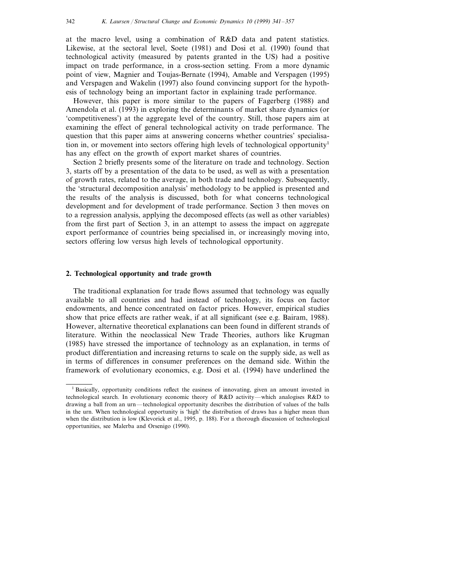at the macro level, using a combination of R&D data and patent statistics. Likewise, at the sectoral level, Soete (1981) and Dosi et al. (1990) found that technological activity (measured by patents granted in the US) had a positive impact on trade performance, in a cross-section setting. From a more dynamic point of view, Magnier and Toujas-Bernate (1994), Amable and Verspagen (1995) and Verspagen and Wakelin (1997) also found convincing support for the hypothesis of technology being an important factor in explaining trade performance.

However, this paper is more similar to the papers of Fagerberg (1988) and Amendola et al. (1993) in exploring the determinants of market share dynamics (or 'competitiveness') at the aggregate level of the country. Still, those papers aim at examining the effect of general technological activity on trade performance. The question that this paper aims at answering concerns whether countries' specialisation in, or movement into sectors offering high levels of technological opportunity<sup>1</sup> has any effect on the growth of export market shares of countries.

Section 2 briefly presents some of the literature on trade and technology. Section 3, starts off by a presentation of the data to be used, as well as with a presentation of growth rates, related to the average, in both trade and technology. Subsequently, the 'structural decomposition analysis' methodology to be applied is presented and the results of the analysis is discussed, both for what concerns technological development and for development of trade performance. Section 3 then moves on to a regression analysis, applying the decomposed effects (as well as other variables) from the first part of Section 3, in an attempt to assess the impact on aggregate export performance of countries being specialised in, or increasingly moving into, sectors offering low versus high levels of technological opportunity.

#### **2. Technological opportunity and trade growth**

The traditional explanation for trade flows assumed that technology was equally available to all countries and had instead of technology, its focus on factor endowments, and hence concentrated on factor prices. However, empirical studies show that price effects are rather weak, if at all significant (see e.g. Bairam, 1988). However, alternative theoretical explanations can been found in different strands of literature. Within the neoclassical New Trade Theories, authors like Krugman (1985) have stressed the importance of technology as an explanation, in terms of product differentiation and increasing returns to scale on the supply side, as well as in terms of differences in consumer preferences on the demand side. Within the framework of evolutionary economics, e.g. Dosi et al. (1994) have underlined the

<sup>&</sup>lt;sup>1</sup> Basically, opportunity conditions reflect the easiness of innovating, given an amount invested in technological search. In evolutionary economic theory of R&D activity—which analogises R&D to drawing a ball from an urn—technological opportunity describes the distribution of values of the balls in the urn. When technological opportunity is 'high' the distribution of draws has a higher mean than when the distribution is low (Klevorick et al., 1995, p. 188). For a thorough discussion of technological opportunities, see Malerba and Orsenigo (1990).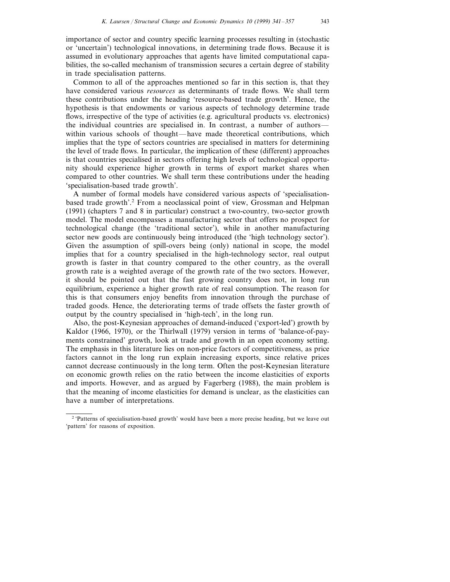importance of sector and country specific learning processes resulting in (stochastic or 'uncertain') technological innovations, in determining trade flows. Because it is assumed in evolutionary approaches that agents have limited computational capabilities, the so-called mechanism of transmission secures a certain degree of stability in trade specialisation patterns.

Common to all of the approaches mentioned so far in this section is, that they have considered various *resources* as determinants of trade flows. We shall term these contributions under the heading 'resource-based trade growth'. Hence, the hypothesis is that endowments or various aspects of technology determine trade flows, irrespective of the type of activities (e.g. agricultural products vs. electronics) the individual countries are specialised in. In contrast, a number of authors within various schools of thought—have made theoretical contributions, which implies that the type of sectors countries are specialised in matters for determining the level of trade flows. In particular, the implication of these (different) approaches is that countries specialised in sectors offering high levels of technological opportunity should experience higher growth in terms of export market shares when compared to other countries. We shall term these contributions under the heading 'specialisation-based trade growth'.

A number of formal models have considered various aspects of 'specialisationbased trade growth'.<sup>2</sup> From a neoclassical point of view, Grossman and Helpman (1991) (chapters 7 and 8 in particular) construct a two-country, two-sector growth model. The model encompasses a manufacturing sector that offers no prospect for technological change (the 'traditional sector'), while in another manufacturing sector new goods are continuously being introduced (the 'high technology sector'). Given the assumption of spill-overs being (only) national in scope, the model implies that for a country specialised in the high-technology sector, real output growth is faster in that country compared to the other country, as the overall growth rate is a weighted average of the growth rate of the two sectors. However, it should be pointed out that the fast growing country does not, in long run equilibrium, experience a higher growth rate of real consumption. The reason for this is that consumers enjoy benefits from innovation through the purchase of traded goods. Hence, the deteriorating terms of trade offsets the faster growth of output by the country specialised in 'high-tech', in the long run.

Also, the post-Keynesian approaches of demand-induced ('export-led') growth by Kaldor (1966, 1970), or the Thirlwall (1979) version in terms of 'balance-of-payments constrained' growth, look at trade and growth in an open economy setting. The emphasis in this literature lies on non-price factors of competitiveness, as price factors cannot in the long run explain increasing exports, since relative prices cannot decrease continuously in the long term. Often the post-Keynesian literature on economic growth relies on the ratio between the income elasticities of exports and imports. However, and as argued by Fagerberg (1988), the main problem is that the meaning of income elasticities for demand is unclear, as the elasticities can have a number of interpretations.

<sup>2</sup> 'Patterns of specialisation-based growth' would have been a more precise heading, but we leave out 'pattern' for reasons of exposition.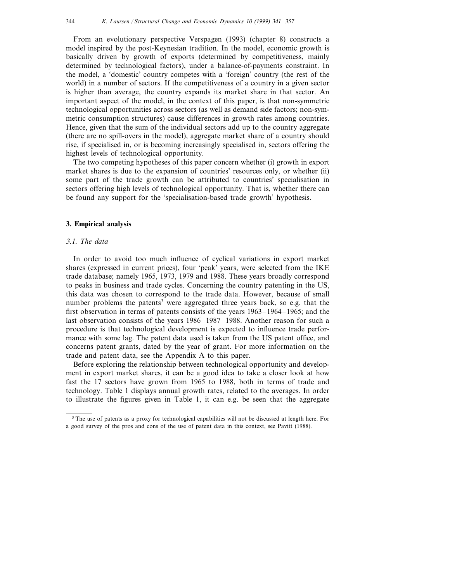From an evolutionary perspective Verspagen (1993) (chapter 8) constructs a model inspired by the post-Keynesian tradition. In the model, economic growth is basically driven by growth of exports (determined by competitiveness, mainly determined by technological factors), under a balance-of-payments constraint. In the model, a 'domestic' country competes with a 'foreign' country (the rest of the world) in a number of sectors. If the competitiveness of a country in a given sector is higher than average, the country expands its market share in that sector. An important aspect of the model, in the context of this paper, is that non-symmetric technological opportunities across sectors (as well as demand side factors; non-symmetric consumption structures) cause differences in growth rates among countries. Hence, given that the sum of the individual sectors add up to the country aggregate (there are no spill-overs in the model), aggregate market share of a country should rise, if specialised in, or is becoming increasingly specialised in, sectors offering the highest levels of technological opportunity.

The two competing hypotheses of this paper concern whether (i) growth in export market shares is due to the expansion of countries' resources only, or whether (ii) some part of the trade growth can be attributed to countries' specialisation in sectors offering high levels of technological opportunity. That is, whether there can be found any support for the 'specialisation-based trade growth' hypothesis.

#### **3. Empirical analysis**

#### 3.1. *The data*

In order to avoid too much influence of cyclical variations in export market shares (expressed in current prices), four 'peak' years, were selected from the IKE trade database; namely 1965, 1973, 1979 and 1988. These years broadly correspond to peaks in business and trade cycles. Concerning the country patenting in the US, this data was chosen to correspond to the trade data. However, because of small number problems the patents<sup>3</sup> were aggregated three years back, so e.g. that the first observation in terms of patents consists of the years 1963–1964–1965; and the last observation consists of the years 1986–1987–1988. Another reason for such a procedure is that technological development is expected to influence trade performance with some lag. The patent data used is taken from the US patent office, and concerns patent grants, dated by the year of grant. For more information on the trade and patent data, see the Appendix A to this paper.

Before exploring the relationship between technological opportunity and development in export market shares, it can be a good idea to take a closer look at how fast the 17 sectors have grown from 1965 to 1988, both in terms of trade and technology. Table 1 displays annual growth rates, related to the averages. In order to illustrate the figures given in Table 1, it can e.g. be seen that the aggregate

<sup>3</sup> The use of patents as a proxy for technological capabilities will not be discussed at length here. For a good survey of the pros and cons of the use of patent data in this context, see Pavitt (1988).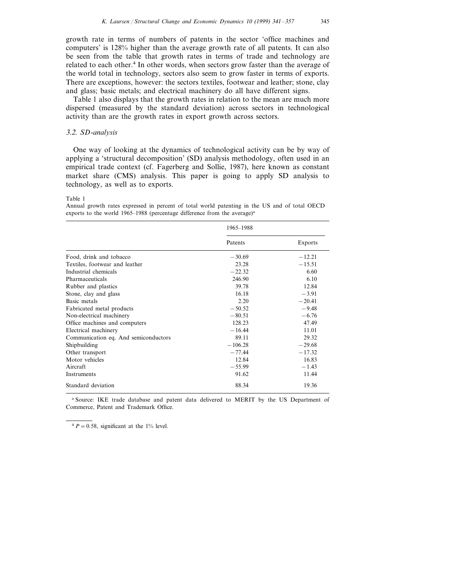growth rate in terms of numbers of patents in the sector 'office machines and computers' is 128% higher than the average growth rate of all patents. It can also be seen from the table that growth rates in terms of trade and technology are related to each other.<sup>4</sup> In other words, when sectors grow faster than the average of the world total in technology, sectors also seem to grow faster in terms of exports. There are exceptions, however: the sectors textiles, footwear and leather; stone, clay and glass; basic metals; and electrical machinery do all have different signs.

Table 1 also displays that the growth rates in relation to the mean are much more dispersed (measured by the standard deviation) across sectors in technological activity than are the growth rates in export growth across sectors.

## 3.2. *SD*-*analysis*

One way of looking at the dynamics of technological activity can be by way of applying a 'structural decomposition' (SD) analysis methodology, often used in an empirical trade context (cf. Fagerberg and Sollie, 1987), here known as constant market share (CMS) analysis. This paper is going to apply SD analysis to technology, as well as to exports.

Table 1

Annual growth rates expressed in percent of total world patenting in the US and of total OECD exports to the world 1965–1988 (percentage difference from the average) $a$ 

|                                      | 1965–1988 |          |  |
|--------------------------------------|-----------|----------|--|
|                                      | Patents   | Exports  |  |
| Food, drink and tobacco              | $-30.69$  | $-12.21$ |  |
| Textiles, footwear and leather       | 23.28     | $-15.51$ |  |
| Industrial chemicals                 | $-22.32$  | 6.60     |  |
| Pharmaceuticals                      | 246.90    | 6.10     |  |
| Rubber and plastics                  | 39.78     | 12.84    |  |
| Stone, clay and glass                | 16.18     | $-3.91$  |  |
| Basic metals                         | 2.20      | $-20.41$ |  |
| Fabricated metal products            | $-50.52$  | $-9.48$  |  |
| Non-electrical machinery             | $-80.51$  | $-6.76$  |  |
| Office machines and computers        | 128.23    | 47.49    |  |
| Electrical machinery                 | $-16.44$  | 11.01    |  |
| Communication eq. And semiconductors | 89.11     | 29.32    |  |
| Shipbuilding                         | $-106.28$ | $-29.68$ |  |
| Other transport                      | $-77.44$  | $-17.32$ |  |
| Motor vehicles                       | 12.84     | 16.83    |  |
| Aircraft                             | $-55.99$  | $-1.43$  |  |
| Instruments                          | 91.62     | 11.44    |  |
| Standard deviation                   | 88.34     | 19.36    |  |

<sup>a</sup> Source: IKE trade database and patent data delivered to MERIT by the US Department of Commerce, Patent and Trademark Office.

 $^{4}P=0.58$ , significant at the 1% level.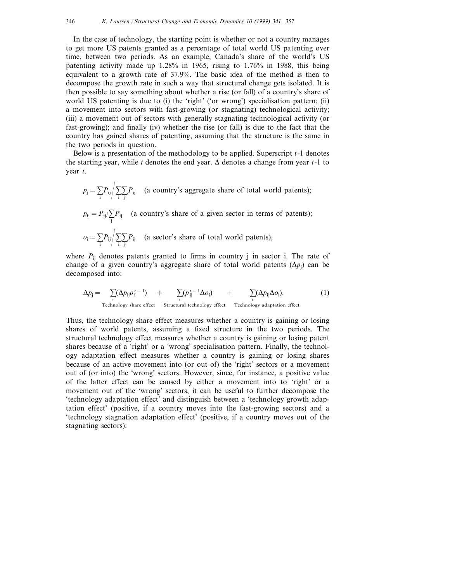In the case of technology, the starting point is whether or not a country manages to get more US patents granted as a percentage of total world US patenting over time, between two periods. As an example, Canada's share of the world's US patenting activity made up 1.28% in 1965, rising to 1.76% in 1988, this being equivalent to a growth rate of 37.9%. The basic idea of the method is then to decompose the growth rate in such a way that structural change gets isolated. It is then possible to say something about whether a rise (or fall) of a country's share of world US patenting is due to (i) the 'right' ('or wrong') specialisation pattern; (ii) a movement into sectors with fast-growing (or stagnating) technological activity; (iii) a movement out of sectors with generally stagnating technological activity (or fast-growing); and finally (iv) whether the rise (or fall) is due to the fact that the country has gained shares of patenting, assuming that the structure is the same in the two periods in question.

Below is a presentation of the methodology to be applied. Superscript *t*-1 denotes the starting year, while *t* denotes the end year.  $\Delta$  denotes a change from year *t*-1 to year *t*.

$$
p_{\mathbf{j}} = \sum_{\mathbf{i}} P_{\mathbf{ij}} / \sum_{\mathbf{i}} \sum_{\mathbf{j}} P_{\mathbf{ij}}
$$
 (a country's aggregate share of total world patents);  
\n
$$
p_{\mathbf{ij}} = P_{\mathbf{ij}} / \sum_{\mathbf{j}} P_{\mathbf{ij}}
$$
 (a country's share of a given sector in terms of patents);  
\n
$$
o_{\mathbf{i}} = \sum_{\mathbf{i}} P_{\mathbf{ij}} / \sum_{\mathbf{i}} \sum_{\mathbf{j}} P_{\mathbf{ij}}
$$
 (a sector's share of total world patents),

where  $P_{ii}$  denotes patents granted to firms in country j in sector i. The rate of change of a given country's aggregate share of total world patents  $(\Delta p_j)$  can be decomposed into:

$$
\Delta p_j = \sum_{i} (\Delta p_{ij} o_i^{t-1}) + \sum_{i} (p_{ij}^{t-1} \Delta o_i) + \sum_{i} (\Delta p_{ij} \Delta o_i).
$$
\n
$$
\Delta p_j = \sum_{i} (\Delta p_{ij} \Delta o_i).
$$
\n
$$
\Delta p_j = \sum_{i} (\Delta p_{ij} o_i^{t-1}) + \sum_{i} (\Delta p_{ij} \Delta o_i).
$$
\n
$$
\Delta p_j = \sum_{i} (\Delta p_{ij} o_i^{t-1}) + \sum_{i} (\Delta p_{ij} \Delta o_i^{t-1})
$$
\n
$$
\Delta p_j = \sum_{i} (\Delta p_{ij} \Delta o_i^{t-1}) + \sum_{i} (\Delta p_{ij} \Delta o_i^{t-1})
$$
\n
$$
\Delta p_j = \sum_{i} (\Delta p_{ij} \Delta o_i^{t-1}) + \sum_{i} (\Delta p_{ij} \Delta o_i^{t-1})
$$
\n
$$
\Delta p_j = \sum_{i} (\Delta p_{ij} \Delta o_i^{t-1}) + \sum_{i} (\Delta p_{ij} \Delta o_i^{t-1})
$$
\n
$$
\Delta p_j = \sum_{i} (\Delta p_{ij} \Delta o_i^{t-1}) + \sum_{i} (\Delta p_{ij} \Delta o_i^{t-1})
$$
\n
$$
\Delta p_j = \sum_{i} (\Delta p_{ij} \Delta o_i^{t-1}) + \sum_{i} (\Delta p_{ij} \Delta o_i^{t-1})
$$

Thus, the technology share effect measures whether a country is gaining or losing shares of world patents, assuming a fixed structure in the two periods. The structural technology effect measures whether a country is gaining or losing patent shares because of a 'right' or a 'wrong' specialisation pattern. Finally, the technology adaptation effect measures whether a country is gaining or losing shares because of an active movement into (or out of) the 'right' sectors or a movement out of (or into) the 'wrong' sectors. However, since, for instance, a positive value of the latter effect can be caused by either a movement into to 'right' or a movement out of the 'wrong' sectors, it can be useful to further decompose the 'technology adaptation effect' and distinguish between a 'technology growth adaptation effect' (positive, if a country moves into the fast-growing sectors) and a 'technology stagnation adaptation effect' (positive, if a country moves out of the stagnating sectors):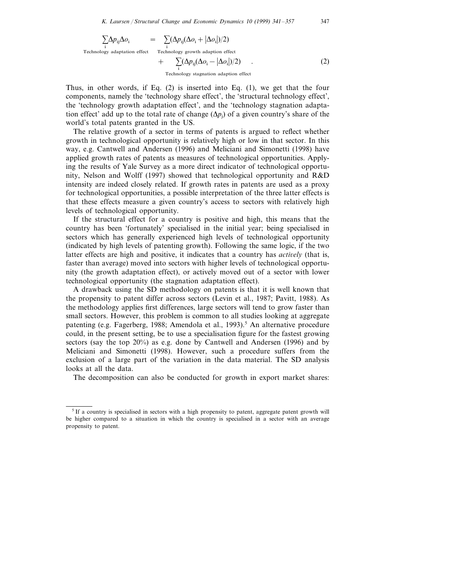$$
\sum_{i} \Delta p_{ij} \Delta o_i = \sum_{i} (\Delta p_{ij} (\Delta o_i + |\Delta o_i|)/2)
$$
\nTechnology adaptation effect\n
$$
+ \sum_{i} (\Delta p_{ij} (\Delta o_i - |\Delta o_i|)/2) .
$$
\n(2)

i Technology stagnation adaption effect

Thus, in other words, if Eq. (2) is inserted into Eq. (1), we get that the four components, namely the 'technology share effect', the 'structural technology effect', the 'technology growth adaptation effect', and the 'technology stagnation adaptation effect' add up to the total rate of change  $(\Delta p_j)$  of a given country's share of the world's total patents granted in the US.

The relative growth of a sector in terms of patents is argued to reflect whether growth in technological opportunity is relatively high or low in that sector. In this way, e.g. Cantwell and Andersen (1996) and Meliciani and Simonetti (1998) have applied growth rates of patents as measures of technological opportunities. Applying the results of Yale Survey as a more direct indicator of technological opportunity, Nelson and Wolff (1997) showed that technological opportunity and R&D intensity are indeed closely related. If growth rates in patents are used as a proxy for technological opportunities, a possible interpretation of the three latter effects is that these effects measure a given country's access to sectors with relatively high levels of technological opportunity.

If the structural effect for a country is positive and high, this means that the country has been 'fortunately' specialised in the initial year; being specialised in sectors which has generally experienced high levels of technological opportunity (indicated by high levels of patenting growth). Following the same logic, if the two latter effects are high and positive, it indicates that a country has *actively* (that is, faster than average) moved into sectors with higher levels of technological opportunity (the growth adaptation effect), or actively moved out of a sector with lower technological opportunity (the stagnation adaptation effect).

A drawback using the SD methodology on patents is that it is well known that the propensity to patent differ across sectors (Levin et al., 1987; Pavitt, 1988). As the methodology applies first differences, large sectors will tend to grow faster than small sectors. However, this problem is common to all studies looking at aggregate patenting (e.g. Fagerberg, 1988; Amendola et al., 1993).<sup>5</sup> An alternative procedure could, in the present setting, be to use a specialisation figure for the fastest growing sectors (say the top  $20\%$ ) as e.g. done by Cantwell and Andersen (1996) and by Meliciani and Simonetti (1998). However, such a procedure suffers from the exclusion of a large part of the variation in the data material. The SD analysis looks at all the data.

The decomposition can also be conducted for growth in export market shares:

 $5$  If a country is specialised in sectors with a high propensity to patent, aggregate patent growth will be higher compared to a situation in which the country is specialised in a sector with an average propensity to patent.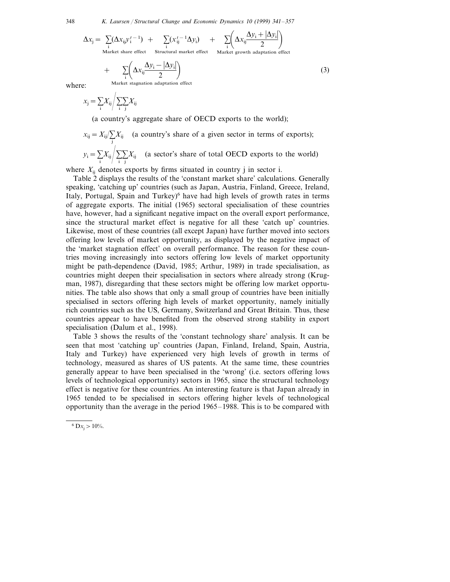$$
\Delta x_{j} = \sum_{i} (\Delta x_{ij} y_{i}^{t-1}) + \sum_{i} (x_{ij}^{t-1} \Delta y_{i}) + \sum_{i} (\Delta x_{ij} \frac{\Delta y_{i} + |\Delta y_{i}|}{2})
$$
  
Market share effect. Structural market effect. Market growth adaptation effect

Market share effect Structural market effect

$$
\sum_{i} \left( \Delta x_{ij} \frac{\Delta y_i - |\Delta y_i|}{2} \right)
$$
  
Market stagnation adaptation effect

(3)

where:

$$
x_{\rm j} = \sum_{\rm i} X_{\rm ij} / \sum_{\rm i} Y_{\rm ij}
$$

 $+$ 

(a country's aggregate share of OECD exports to the world);

$$
x_{ij} = X_{ij} / \sum_{j} X_{ij}
$$
 (a country's share of a given sector in terms of exports);  

$$
y_{i} = \sum_{i} X_{ij} / \sum_{j} X_{ij}
$$
 (a sector's share of total OECD exports to the world)

where  $X_{ii}$  denotes exports by firms situated in country j in sector i.

Table 2 displays the results of the 'constant market share' calculations. Generally speaking, 'catching up' countries (such as Japan, Austria, Finland, Greece, Ireland, Italy, Portugal, Spain and Turkey<sup> $6$ </sup> have had high levels of growth rates in terms of aggregate exports. The initial (1965) sectoral specialisation of these countries have, however, had a significant negative impact on the overall export performance, since the structural market effect is negative for all these 'catch up' countries. Likewise, most of these countries (all except Japan) have further moved into sectors offering low levels of market opportunity, as displayed by the negative impact of the 'market stagnation effect' on overall performance. The reason for these countries moving increasingly into sectors offering low levels of market opportunity might be path-dependence (David, 1985; Arthur, 1989) in trade specialisation, as countries might deepen their specialisation in sectors where already strong (Krugman, 1987), disregarding that these sectors might be offering low market opportunities. The table also shows that only a small group of countries have been initially specialised in sectors offering high levels of market opportunity, namely initially rich countries such as the US, Germany, Switzerland and Great Britain. Thus, these countries appear to have benefited from the observed strong stability in export specialisation (Dalum et al., 1998).

Table 3 shows the results of the 'constant technology share' analysis. It can be seen that most 'catching up' countries (Japan, Finland, Ireland, Spain, Austria, Italy and Turkey) have experienced very high levels of growth in terms of technology, measured as shares of US patents. At the same time, these countries generally appear to have been specialised in the 'wrong' (i.e. sectors offering lows levels of technological opportunity) sectors in 1965, since the structural technology effect is negative for these countries. An interesting feature is that Japan already in 1965 tended to be specialised in sectors offering higher levels of technological opportunity than the average in the period 1965–1988. This is to be compared with

 $6 \text{ D}x_i>10\%$ .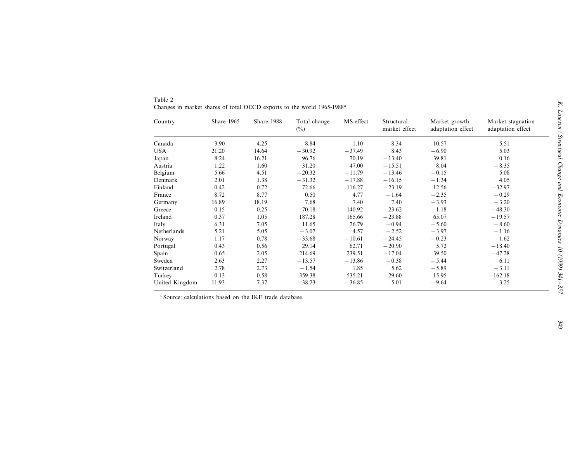| Country        | Share 1965 | Share 1988 | Total change<br>$(\%)$ | MS-effect | Structural<br>market effect | Market growth<br>adaptation effect | Market stagnation<br>adaptation effect |
|----------------|------------|------------|------------------------|-----------|-----------------------------|------------------------------------|----------------------------------------|
| Canada         | 3.90       | 4.25       | 8.84                   | 1.10      | $-8.34$                     | 10.57                              | 5.51                                   |
| <b>USA</b>     | 21.20      | 14.64      | $-30.92$               | $-37.49$  | 8.43                        | $-6.90$                            | 5.03                                   |
| Japan          | 8.24       | 16.21      | 96.76                  | 70.19     | $-13.40$                    | 39.81                              | 0.16                                   |
| Austria        | 1.22       | 1.60       | 31.20                  | 47.00     | $-15.51$                    | 8.04                               | $-8.35$                                |
| Belgium        | 5.66       | 4.51       | $-20.32$               | $-11.79$  | $-13.46$                    | $-0.15$                            | 5.08                                   |
| Denmark        | 2.01       | 1.38       | $-31.32$               | $-17.88$  | $-16.15$                    | $-1.34$                            | 4.05                                   |
| Finland        | 0.42       | 0.72       | 72.66                  | 116.27    | $-23.19$                    | 12.56                              | $-32.97$                               |
| France         | 8.72       | 8.77       | 0.50                   | 4.77      | $-1.64$                     | $-2.35$                            | $-0.29$                                |
| Germany        | 16.89      | 18.19      | 7.68                   | 7.40      | 7.40                        | $-3.93$                            | $-3.20$                                |
| Greece         | 0.15       | 0.25       | 70.18                  | 140.92    | $-23.62$                    | 1.18                               | $-48.30$                               |
| Ireland        | 0.37       | 1.05       | 187.28                 | 165.66    | $-23.88$                    | 65.07                              | $-19.57$                               |
| Italy          | 6.31       | 7.05       | 11.65                  | 26.79     | $-0.94$                     | $-5.60$                            | $-8.60$                                |
| Netherlands    | 5.21       | 5.05       | $-3.07$                | 4.57      | $-2.52$                     | $-3.97$                            | $-1.16$                                |
| Norway         | 1.17       | 0.78       | $-33.68$               | $-10.61$  | $-24.45$                    | $-0.23$                            | 1.62                                   |
| Portugal       | 0.43       | 0.56       | 29.14                  | 62.71     | $-20.90$                    | 5.72                               | $-18.40$                               |
| Spain          | 0.65       | 2.05       | 214.69                 | 239.51    | $-17.04$                    | 39.50                              | $-47.28$                               |
| Sweden         | 2.63       | 2.27       | $-13.57$               | $-13.86$  | $-0.38$                     | $-5.44$                            | 6.11                                   |
| Switzerland    | 2.78       | 2.73       | $-1.54$                | 1.85      | 5.62                        | $-5.89$                            | $-3.11$                                |
| Turkey         | 0.13       | 0.58       | 359.38                 | 535.21    | $-29.60$                    | 15.95                              | $-162.18$                              |
| United Kingdom | 11.93      | 7.37       | $-38.23$               | $-36.85$  | 5.01                        | $-9.64$                            | 3.25                                   |

Table 2 Changes in market shares of total OECD exports to the world 1965-1988a

a Source: calculations based on the IKE trade database.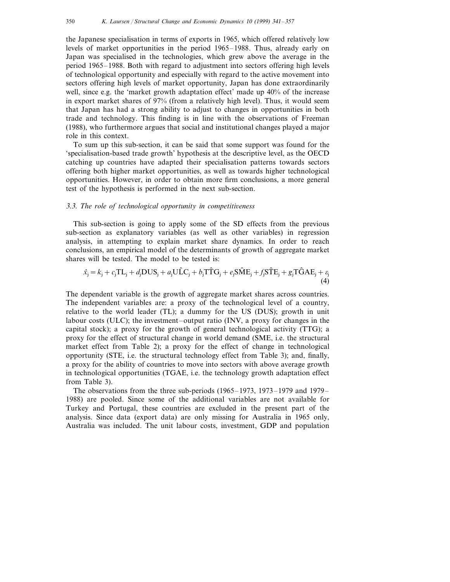the Japanese specialisation in terms of exports in 1965, which offered relatively low levels of market opportunities in the period 1965–1988. Thus, already early on Japan was specialised in the technologies, which grew above the average in the period 1965–1988. Both with regard to adjustment into sectors offering high levels of technological opportunity and especially with regard to the active movement into sectors offering high levels of market opportunity, Japan has done extraordinarily well, since e.g. the 'market growth adaptation effect' made up 40% of the increase in export market shares of 97% (from a relatively high level). Thus, it would seem that Japan has had a strong ability to adjust to changes in opportunities in both trade and technology. This finding is in line with the observations of Freeman (1988), who furthermore argues that social and institutional changes played a major role in this context.

To sum up this sub-section, it can be said that some support was found for the 'specialisation-based trade growth' hypothesis at the descriptive level, as the OECD catching up countries have adapted their specialisation patterns towards sectors offering both higher market opportunities, as well as towards higher technological opportunities. However, in order to obtain more firm conclusions, a more general test of the hypothesis is performed in the next sub-section.

### 3.3. The role of technological opportunity in competitiveness

This sub-section is going to apply some of the SD effects from the previous sub-section as explanatory variables (as well as other variables) in regression analysis, in attempting to explain market share dynamics. In order to reach conclusions, an empirical model of the determinants of growth of aggregate market shares will be tested. The model to be tested is:

$$
\hat{x}_j = k_j + c_j \text{TL}_j + d_j \text{DUS}_j + a_j \text{U}\hat{\text{LC}}_j + b_j \text{TT}\hat{\text{G}}_j + e_j \text{S}\hat{\text{ME}}_j + f_j \text{S}\hat{\text{TE}}_j + g_j \text{T}\hat{\text{G}}\text{AE}_j + \varepsilon_j
$$
\n(4)

The dependent variable is the growth of aggregate market shares across countries. The independent variables are: a proxy of the technological level of a country, relative to the world leader (TL); a dummy for the US (DUS); growth in unit labour costs (ULC); the investment–output ratio (INV, a proxy for changes in the capital stock); a proxy for the growth of general technological activity (TTG); a proxy for the effect of structural change in world demand (SME, i.e. the structural market effect from Table 2); a proxy for the effect of change in technological opportunity (STE, i.e. the structural technology effect from Table 3); and, finally, a proxy for the ability of countries to move into sectors with above average growth in technological opportunities (TGAE, i.e. the technology growth adaptation effect from Table 3).

The observations from the three sub-periods (1965–1973, 1973–1979 and 1979– 1988) are pooled. Since some of the additional variables are not available for Turkey and Portugal, these countries are excluded in the present part of the analysis. Since data (export data) are only missing for Australia in 1965 only, Australia was included. The unit labour costs, investment, GDP and population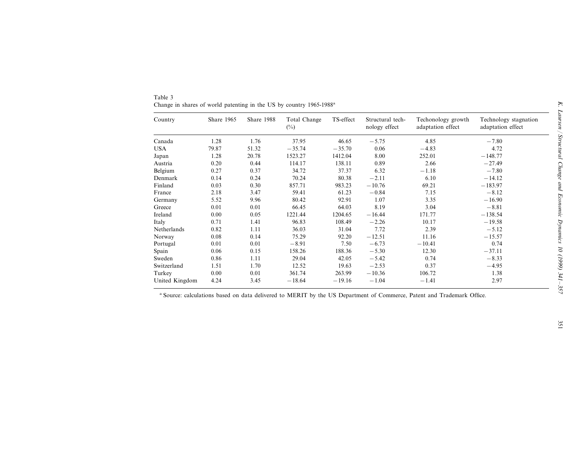| Country        | Share 1965 | Share 1988 | Total Change<br>$(\%)$ | TS-effect | Structural tech-<br>nology effect | Techonology growth<br>adaptation effect | Technology stagnation<br>adaptation effect |
|----------------|------------|------------|------------------------|-----------|-----------------------------------|-----------------------------------------|--------------------------------------------|
| Canada         | 1.28       | 1.76       | 37.95                  | 46.65     | $-5.75$                           | 4.85                                    | $-7.80$                                    |
| <b>USA</b>     | 79.87      | 51.32      | $-35.74$               | $-35.70$  | 0.06                              | $-4.83$                                 | 4.72                                       |
| Japan          | 1.28       | 20.78      | 1523.27                | 1412.04   | 8.00                              | 252.01                                  | $-148.77$                                  |
| Austria        | 0.20       | 0.44       | 114.17                 | 138.11    | 0.89                              | 2.66                                    | $-27.49$                                   |
| Belgium        | 0.27       | 0.37       | 34.72                  | 37.37     | 6.32                              | $-1.18$                                 | $-7.80$                                    |
| Denmark        | 0.14       | 0.24       | 70.24                  | 80.38     | $-2.11$                           | 6.10                                    | $-14.12$                                   |
| Finland        | 0.03       | 0.30       | 857.71                 | 983.23    | $-10.76$                          | 69.21                                   | $-183.97$                                  |
| France         | 2.18       | 3.47       | 59.41                  | 61.23     | $-0.84$                           | 7.15                                    | $-8.12$                                    |
| Germany        | 5.52       | 9.96       | 80.42                  | 92.91     | 1.07                              | 3.35                                    | $-16.90$                                   |
| Greece         | 0.01       | 0.01       | 66.45                  | 64.03     | 8.19                              | 3.04                                    | $-8.81$                                    |
| Ireland        | 0.00       | 0.05       | 1221.44                | 1204.65   | $-16.44$                          | 171.77                                  | $-138.54$                                  |
| Italy          | 0.71       | 1.41       | 96.83                  | 108.49    | $-2.26$                           | 10.17                                   | $-19.58$                                   |
| Netherlands    | 0.82       | 1.11       | 36.03                  | 31.04     | 7.72                              | 2.39                                    | $-5.12$                                    |
| Norway         | 0.08       | 0.14       | 75.29                  | 92.20     | $-12.51$                          | 11.16                                   | $-15.57$                                   |
| Portugal       | 0.01       | 0.01       | $-8.91$                | 7.50      | $-6.73$                           | $-10.41$                                | 0.74                                       |
| Spain          | 0.06       | 0.15       | 158.26                 | 188.36    | $-5.30$                           | 12.30                                   | $-37.11$                                   |
| Sweden         | 0.86       | 1.11       | 29.04                  | 42.05     | $-5.42$                           | 0.74                                    | $-8.33$                                    |
| Switzerland    | 1.51       | 1.70       | 12.52                  | 19.63     | $-2.53$                           | 0.37                                    | $-4.95$                                    |
| Turkey         | 0.00       | 0.01       | 361.74                 | 263.99    | $-10.36$                          | 106.72                                  | 1.38                                       |
| United Kingdom | 4.24       | 3.45       | $-18.64$               | $-19.16$  | $-1.04$                           | $-1.41$                                 | 2.97                                       |

Table 3 Change in shares of world patenting in the US by country 1965-1988a

a Source: calculations based on data delivered to MERIT by the US Department of Commerce, Patent and Trademark Office.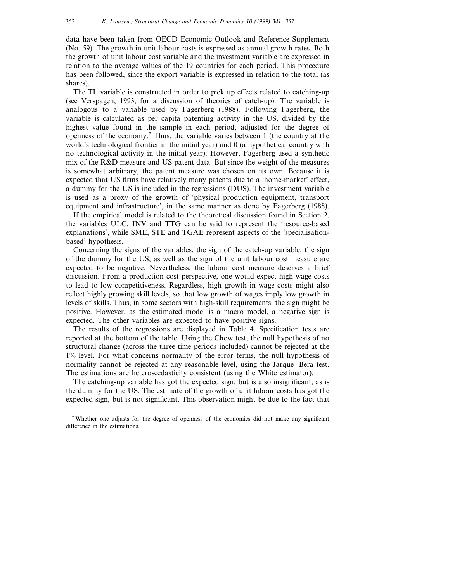data have been taken from OECD Economic Outlook and Reference Supplement (No. 59). The growth in unit labour costs is expressed as annual growth rates. Both the growth of unit labour cost variable and the investment variable are expressed in relation to the average values of the 19 countries for each period. This procedure has been followed, since the export variable is expressed in relation to the total (as shares).

The TL variable is constructed in order to pick up effects related to catching-up (see Verspagen, 1993, for a discussion of theories of catch-up). The variable is analogous to a variable used by Fagerberg (1988). Following Fagerberg, the variable is calculated as per capita patenting activity in the US, divided by the highest value found in the sample in each period, adjusted for the degree of openness of the economy.7 Thus, the variable varies between 1 (the country at the world's technological frontier in the initial year) and 0 (a hypothetical country with no technological activity in the initial year). However, Fagerberg used a synthetic mix of the R&D measure and US patent data. But since the weight of the measures is somewhat arbitrary, the patent measure was chosen on its own. Because it is expected that US firms have relatively many patents due to a 'home-market' effect, a dummy for the US is included in the regressions (DUS). The investment variable is used as a proxy of the growth of 'physical production equipment, transport equipment and infrastructure', in the same manner as done by Fagerberg (1988).

If the empirical model is related to the theoretical discussion found in Section 2, the variables ULC, INV and TTG can be said to represent the 'resource-based explanations', while SME, STE and TGAE represent aspects of the 'specialisationbased' hypothesis.

Concerning the signs of the variables, the sign of the catch-up variable, the sign of the dummy for the US, as well as the sign of the unit labour cost measure are expected to be negative. Nevertheless, the labour cost measure deserves a brief discussion. From a production cost perspective, one would expect high wage costs to lead to low competitiveness. Regardless, high growth in wage costs might also reflect highly growing skill levels, so that low growth of wages imply low growth in levels of skills. Thus, in some sectors with high-skill requirements, the sign might be positive. However, as the estimated model is a macro model, a negative sign is expected. The other variables are expected to have positive signs.

The results of the regressions are displayed in Table 4. Specification tests are reported at the bottom of the table. Using the Chow test, the null hypothesis of no structural change (across the three time periods included) cannot be rejected at the 1% level. For what concerns normality of the error terms, the null hypothesis of normality cannot be rejected at any reasonable level, using the Jarque–Bera test. The estimations are heteroscedasticity consistent (using the White estimator).

The catching-up variable has got the expected sign, but is also insignificant, as is the dummy for the US. The estimate of the growth of unit labour costs has got the expected sign, but is not significant. This observation might be due to the fact that

<sup>&</sup>lt;sup>7</sup> Whether one adjusts for the degree of openness of the economies did not make any significant difference in the estimations.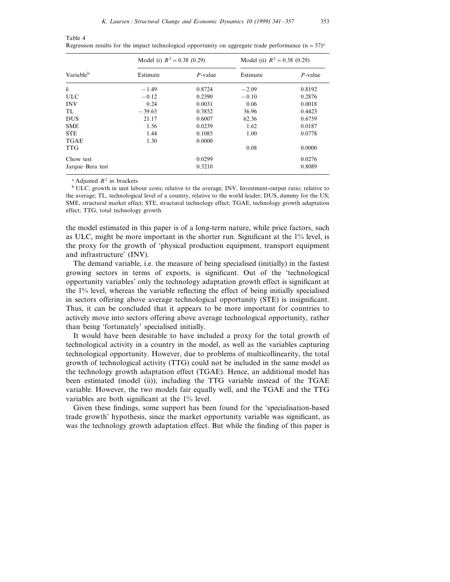|                       | Model (i) $R^2 = 0.38$ (0.29) |            | Model (ii) $R^2 = 0.38$ (0.29) |            |  |
|-----------------------|-------------------------------|------------|--------------------------------|------------|--|
| Variable <sup>b</sup> | Estimate                      | $P$ -value | Estimate                       | $P$ -value |  |
| $\boldsymbol{k}$      | $-1.49$                       | 0.8724     | $-2.09$                        | 0.8192     |  |
| <b>ULC</b>            | $-0.12$                       | 0.2390     | $-0.10$                        | 0.2876     |  |
| <b>INV</b>            | 0.24                          | 0.0031     | 0.06                           | 0.0018     |  |
| TL                    | $-39.63$                      | 0.3852     | 36.96                          | 0.4423     |  |
| <b>DUS</b>            | 21.17                         | 0.6007     | 62.36                          | 0.6759     |  |
| <b>SME</b>            | 1.56                          | 0.0239     | 1.62                           | 0.0187     |  |
| <b>STE</b>            | 1.44                          | 0.1085     | 1.00                           | 0.0778     |  |
| <b>TGAE</b>           | 1.30                          | 0.0000     |                                |            |  |
| <b>TTG</b>            |                               |            | 0.08                           | 0.0000     |  |
| Chow test             |                               | 0.0299     |                                | 0.0276     |  |
| Jarque–Bera test      |                               | 0.3210     |                                | 0.8089     |  |

Table 4 Regression results for the impact technological opportunity on aggregate trade performance  $(n=57)^{a}$ 

 $A$ djusted  $R^2$  in brackets.

<sup>b</sup> ULC, growth in unit labour costs; relative to the average; INV, Investment-output ratio; relative to the average; TL, technological level of a country, relative to the world leader; DUS, dummy for the US; SME, structural market effect; STE, structural technology effect; TGAE, technology growth adaptation effect; TTG, total technology growth.

the model estimated in this paper is of a long-term nature, while price factors, such as ULC, might be more important in the shorter run. Significant at the 1% level, is the proxy for the growth of 'physical production equipment, transport equipment and infrastructure' (INV).

The demand variable, i.e. the measure of being specialised (initially) in the fastest growing sectors in terms of exports, is significant. Out of the 'technological opportunity variables' only the technology adaptation growth effect is significant at the 1% level, whereas the variable reflecting the effect of being initially specialised in sectors offering above average technological opportunity (STE) is insignificant. Thus, it can be concluded that it appears to be more important for countries to actively move into sectors offering above average technological opportunity, rather than being 'fortunately' specialised initially.

It would have been desirable to have included a proxy for the total growth of technological activity in a country in the model, as well as the variables capturing technological opportunity. However, due to problems of multicollinearity, the total growth of technological activity (TTG) could not be included in the same model as the technology growth adaptation effect (TGAE). Hence, an additional model has been estimated (model (ii)), including the TTG variable instead of the TGAE variable. However, the two models fair equally well, and the TGAE and the TTG variables are both significant at the 1% level.

Given these findings, some support has been found for the 'specialisation-based trade growth' hypothesis, since the market opportunity variable was significant, as was the technology growth adaptation effect. But while the finding of this paper is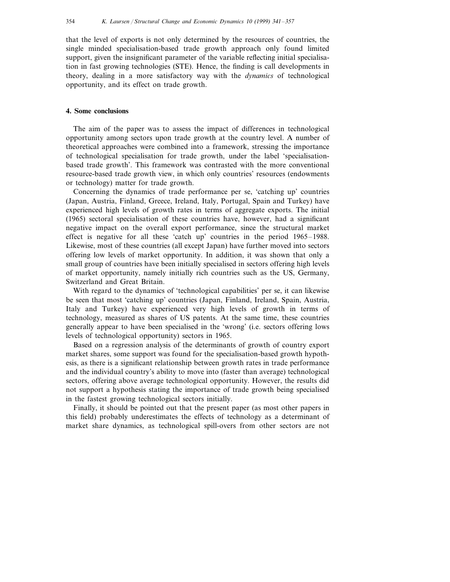that the level of exports is not only determined by the resources of countries, the single minded specialisation-based trade growth approach only found limited support, given the insignificant parameter of the variable reflecting initial specialisation in fast growing technologies (STE). Hence, the finding is call developments in theory, dealing in a more satisfactory way with the *dynamics* of technological opportunity, and its effect on trade growth.

## **4. Some conclusions**

The aim of the paper was to assess the impact of differences in technological opportunity among sectors upon trade growth at the country level. A number of theoretical approaches were combined into a framework, stressing the importance of technological specialisation for trade growth, under the label 'specialisationbased trade growth'. This framework was contrasted with the more conventional resource-based trade growth view, in which only countries' resources (endowments or technology) matter for trade growth.

Concerning the dynamics of trade performance per se, 'catching up' countries (Japan, Austria, Finland, Greece, Ireland, Italy, Portugal, Spain and Turkey) have experienced high levels of growth rates in terms of aggregate exports. The initial (1965) sectoral specialisation of these countries have, however, had a significant negative impact on the overall export performance, since the structural market effect is negative for all these 'catch up' countries in the period 1965–1988. Likewise, most of these countries (all except Japan) have further moved into sectors offering low levels of market opportunity. In addition, it was shown that only a small group of countries have been initially specialised in sectors offering high levels of market opportunity, namely initially rich countries such as the US, Germany, Switzerland and Great Britain.

With regard to the dynamics of 'technological capabilities' per se, it can likewise be seen that most 'catching up' countries (Japan, Finland, Ireland, Spain, Austria, Italy and Turkey) have experienced very high levels of growth in terms of technology, measured as shares of US patents. At the same time, these countries generally appear to have been specialised in the 'wrong' (i.e. sectors offering lows levels of technological opportunity) sectors in 1965.

Based on a regression analysis of the determinants of growth of country export market shares, some support was found for the specialisation-based growth hypothesis, as there is a significant relationship between growth rates in trade performance and the individual country's ability to move into (faster than average) technological sectors, offering above average technological opportunity. However, the results did not support a hypothesis stating the importance of trade growth being specialised in the fastest growing technological sectors initially.

Finally, it should be pointed out that the present paper (as most other papers in this field) probably underestimates the effects of technology as a determinant of market share dynamics, as technological spill-overs from other sectors are not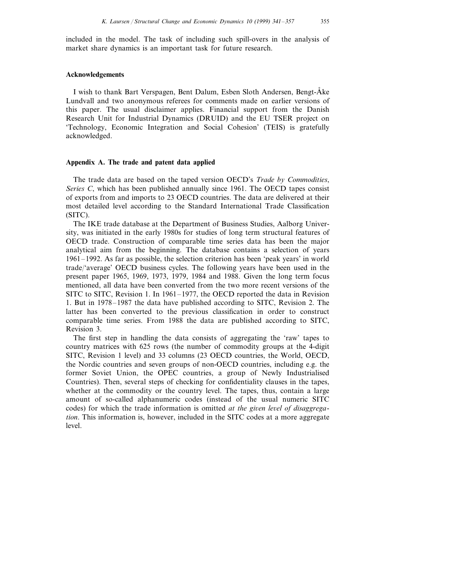included in the model. The task of including such spill-overs in the analysis of market share dynamics is an important task for future research.

## **Acknowledgements**

I wish to thank Bart Verspagen, Bent Dalum, Esben Sloth Andersen, Bengt-Åke Lundvall and two anonymous referees for comments made on earlier versions of this paper. The usual disclaimer applies. Financial support from the Danish Research Unit for Industrial Dynamics (DRUID) and the EU TSER project on 'Technology, Economic Integration and Social Cohesion' (TEIS) is gratefully acknowledged.

## **Appendix A. The trade and patent data applied**

The trade data are based on the taped version OECD's *Trade by Commodities*, *Series C*, which has been published annually since 1961. The OECD tapes consist of exports from and imports to 23 OECD countries. The data are delivered at their most detailed level according to the Standard International Trade Classification (SITC).

The IKE trade database at the Department of Business Studies, Aalborg University, was initiated in the early 1980s for studies of long term structural features of OECD trade. Construction of comparable time series data has been the major analytical aim from the beginning. The database contains a selection of years 1961–1992. As far as possible, the selection criterion has been 'peak years' in world trade/'average' OECD business cycles. The following years have been used in the present paper 1965, 1969, 1973, 1979, 1984 and 1988. Given the long term focus mentioned, all data have been converted from the two more recent versions of the SITC to SITC, Revision 1. In 1961–1977, the OECD reported the data in Revision 1. But in 1978–1987 the data have published according to SITC, Revision 2. The latter has been converted to the previous classification in order to construct comparable time series. From 1988 the data are published according to SITC, Revision 3.

The first step in handling the data consists of aggregating the 'raw' tapes to country matrices with 625 rows (the number of commodity groups at the 4-digit SITC, Revision 1 level) and 33 columns (23 OECD countries, the World, OECD, the Nordic countries and seven groups of non-OECD countries, including e.g. the former Soviet Union, the OPEC countries, a group of Newly Industrialised Countries). Then, several steps of checking for confidentiality clauses in the tapes, whether at the commodity or the country level. The tapes, thus, contain a large amount of so-called alphanumeric codes (instead of the usual numeric SITC codes) for which the trade information is omitted *at the given level of disaggregation*. This information is, however, included in the SITC codes at a more aggregate level.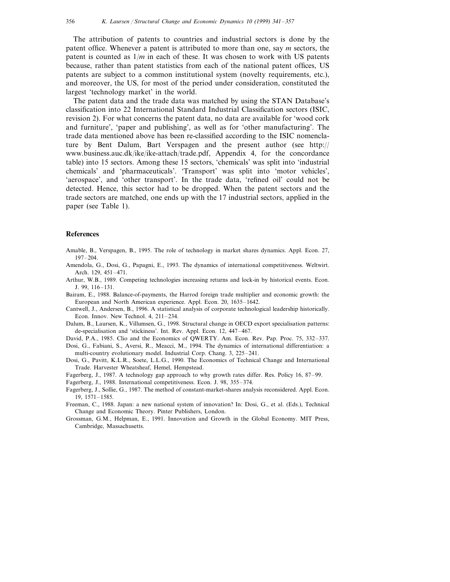The attribution of patents to countries and industrial sectors is done by the patent office. Whenever a patent is attributed to more than one, say *m* sectors, the patent is counted as 1/*m* in each of these. It was chosen to work with US patents because, rather than patent statistics from each of the national patent offices, US patents are subject to a common institutional system (novelty requirements, etc.), and moreover, the US, for most of the period under consideration, constituted the largest 'technology market' in the world.

The patent data and the trade data was matched by using the STAN Database's classification into 22 International Standard Industrial Classification sectors (ISIC, revision 2). For what concerns the patent data, no data are available for 'wood cork and furniture', 'paper and publishing', as well as for 'other manufacturing'. The trade data mentioned above has been re-classified according to the ISIC nomenclature by Bent Dalum, Bart Verspagen and the present author (see http:// www.business.auc.dk/ike/ike-attach/trade.pdf, Appendix 4, for the concordance table) into 15 sectors. Among these 15 sectors, 'chemicals' was split into 'industrial chemicals' and 'pharmaceuticals'. 'Transport' was split into 'motor vehicles', 'aerospace', and 'other transport'. In the trade data, 'refined oil' could not be detected. Hence, this sector had to be dropped. When the patent sectors and the trade sectors are matched, one ends up with the 17 industrial sectors, applied in the paper (see Table 1).

#### **References**

- Amable, B., Verspagen, B., 1995. The role of technology in market shares dynamics. Appl. Econ. 27, 197–204.
- Amendola, G., Dosi, G., Papagni, E., 1993. The dynamics of international competitiveness. Weltwirt. Arch. 129, 451–471.
- Arthur, W.B., 1989. Competing technologies increasing returns and lock-in by historical events. Econ. J. 99, 116–131.
- Bairam, E., 1988. Balance-of-payments, the Harrod foreign trade multiplier and economic growth: the European and North American experience. Appl. Econ. 20, 1635–1642.
- Cantwell, J., Andersen, B., 1996. A statistical analysis of corporate technological leadership historically. Econ. Innov. New Technol. 4, 211–234.
- Dalum, B., Laursen, K., Villumsen, G., 1998. Structural change in OECD export specialisation patterns: de-specialisation and 'stickiness'. Int. Rev. Appl. Econ. 12, 447–467.
- David, P.A., 1985. Clio and the Economics of QWERTY. Am. Econ. Rev. Pap. Proc. 75, 332–337.
- Dosi, G., Fabiani, S., Aversi, R., Meacci, M., 1994. The dynamics of international differentiation: a multi-country evolutionary model. Industrial Corp. Chang. 3, 225–241.
- Dosi, G., Pavitt, K.L.R., Soete, L.L.G., 1990. The Economics of Technical Change and International Trade. Harvester Wheatsheaf, Hemel, Hempstead.
- Fagerberg, J., 1987. A technology gap approach to why growth rates differ. Res. Policy 16, 87–99.

Fagerberg, J., 1988. International competitiveness. Econ. J. 98, 355–374.

- Fagerberg, J., Sollie, G., 1987. The method of constant-market-shares analysis reconsidered. Appl. Econ. 19, 1571–1585.
- Freeman, C., 1988. Japan: a new national system of innovation? In: Dosi, G., et al. (Eds.), Technical Change and Economic Theory. Pinter Publishers, London.
- Grossman, G.M., Helpman, E., 1991. Innovation and Growth in the Global Economy. MIT Press, Cambridge, Massachusetts.